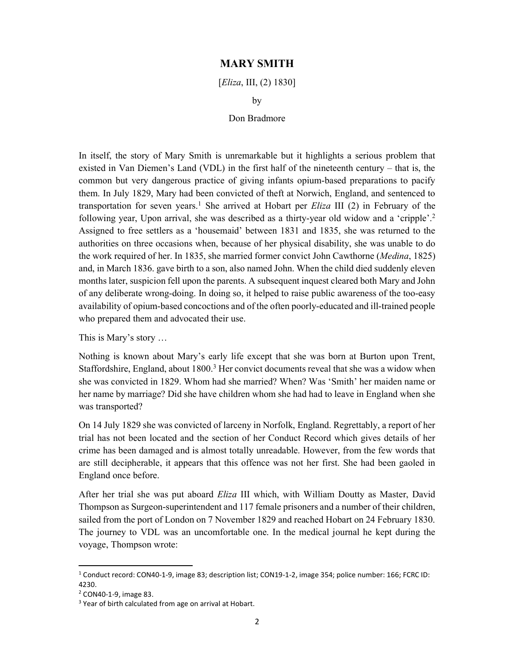## MARY SMITH

[*Eliza*, III, (2) 1830]

by

## Don Bradmore

In itself, the story of Mary Smith is unremarkable but it highlights a serious problem that existed in Van Diemen's Land (VDL) in the first half of the nineteenth century – that is, the common but very dangerous practice of giving infants opium-based preparations to pacify them. In July 1829, Mary had been convicted of theft at Norwich, England, and sentenced to transportation for seven years.<sup>1</sup> She arrived at Hobart per  $Eliza$  III (2) in February of the following year, Upon arrival, she was described as a thirty-year old widow and a 'cripple'.<sup>2</sup> Assigned to free settlers as a 'housemaid' between 1831 and 1835, she was returned to the authorities on three occasions when, because of her physical disability, she was unable to do the work required of her. In 1835, she married former convict John Cawthorne (*Medina*, 1825) and, in March 1836. gave birth to a son, also named John. When the child died suddenly eleven months later, suspicion fell upon the parents. A subsequent inquest cleared both Mary and John of any deliberate wrong-doing. In doing so, it helped to raise public awareness of the too-easy availability of opium-based concoctions and of the often poorly-educated and ill-trained people who prepared them and advocated their use.

This is Mary's story …

Nothing is known about Mary's early life except that she was born at Burton upon Trent, Staffordshire, England, about 1800.<sup>3</sup> Her convict documents reveal that she was a widow when she was convicted in 1829. Whom had she married? When? Was 'Smith' her maiden name or her name by marriage? Did she have children whom she had had to leave in England when she was transported?

On 14 July 1829 she was convicted of larceny in Norfolk, England. Regrettably, a report of her trial has not been located and the section of her Conduct Record which gives details of her crime has been damaged and is almost totally unreadable. However, from the few words that are still decipherable, it appears that this offence was not her first. She had been gaoled in England once before.

After her trial she was put aboard Eliza III which, with William Doutty as Master, David Thompson as Surgeon-superintendent and 117 female prisoners and a number of their children, sailed from the port of London on 7 November 1829 and reached Hobart on 24 February 1830. The journey to VDL was an uncomfortable one. In the medical journal he kept during the voyage, Thompson wrote:

<sup>1</sup> Conduct record: CON40-1-9, image 83; description list; CON19-1-2, image 354; police number: 166; FCRC ID: 4230.

<sup>2</sup> CON40-1-9, image 83.

<sup>&</sup>lt;sup>3</sup> Year of birth calculated from age on arrival at Hobart.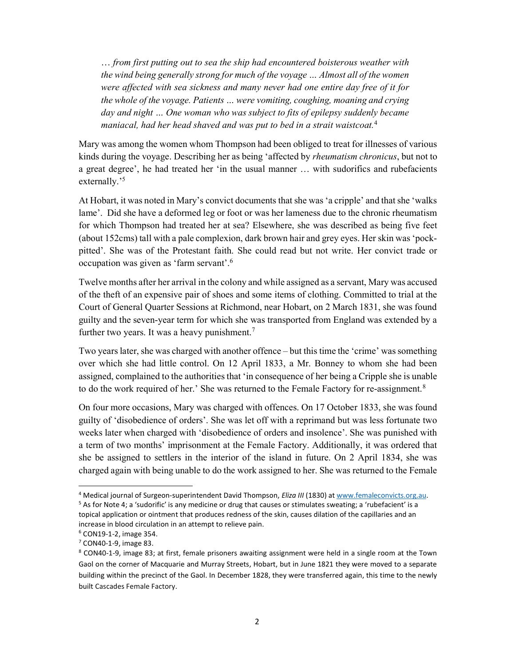… from first putting out to sea the ship had encountered boisterous weather with the wind being generally strong for much of the voyage … Almost all of the women were affected with sea sickness and many never had one entire day free of it for the whole of the voyage. Patients … were vomiting, coughing, moaning and crying day and night … One woman who was subject to fits of epilepsy suddenly became maniacal, had her head shaved and was put to bed in a strait waistcoat.<sup>4</sup>

Mary was among the women whom Thompson had been obliged to treat for illnesses of various kinds during the voyage. Describing her as being 'affected by *rheumatism chronicus*, but not to a great degree', he had treated her 'in the usual manner … with sudorifics and rubefacients externally.'<sup>5</sup>

At Hobart, it was noted in Mary's convict documents that she was 'a cripple' and that she 'walks lame'. Did she have a deformed leg or foot or was her lameness due to the chronic rheumatism for which Thompson had treated her at sea? Elsewhere, she was described as being five feet (about 152cms) tall with a pale complexion, dark brown hair and grey eyes. Her skin was 'pockpitted'. She was of the Protestant faith. She could read but not write. Her convict trade or occupation was given as 'farm servant'.<sup>6</sup>

Twelve months after her arrival in the colony and while assigned as a servant, Mary was accused of the theft of an expensive pair of shoes and some items of clothing. Committed to trial at the Court of General Quarter Sessions at Richmond, near Hobart, on 2 March 1831, she was found guilty and the seven-year term for which she was transported from England was extended by a further two years. It was a heavy punishment. $7$ 

Two years later, she was charged with another offence – but this time the 'crime' was something over which she had little control. On 12 April 1833, a Mr. Bonney to whom she had been assigned, complained to the authorities that 'in consequence of her being a Cripple she is unable to do the work required of her.' She was returned to the Female Factory for re-assignment. $8$ 

On four more occasions, Mary was charged with offences. On 17 October 1833, she was found guilty of 'disobedience of orders'. She was let off with a reprimand but was less fortunate two weeks later when charged with 'disobedience of orders and insolence'. She was punished with a term of two months' imprisonment at the Female Factory. Additionally, it was ordered that she be assigned to settlers in the interior of the island in future. On 2 April 1834, she was charged again with being unable to do the work assigned to her. She was returned to the Female

<sup>&</sup>lt;sup>4</sup> Medical journal of Surgeon-superintendent David Thompson, *Eliza III* (1830) at www.femaleconvicts.org.au.

<sup>&</sup>lt;sup>5</sup> As for Note 4; a 'sudorific' is any medicine or drug that causes or stimulates sweating; a 'rubefacient' is a topical application or ointment that produces redness of the skin, causes dilation of the capillaries and an increase in blood circulation in an attempt to relieve pain.

<sup>6</sup> CON19-1-2, image 354.

<sup>7</sup> CON40-1-9, image 83.

<sup>8</sup> CON40-1-9, image 83; at first, female prisoners awaiting assignment were held in a single room at the Town Gaol on the corner of Macquarie and Murray Streets, Hobart, but in June 1821 they were moved to a separate building within the precinct of the Gaol. In December 1828, they were transferred again, this time to the newly built Cascades Female Factory.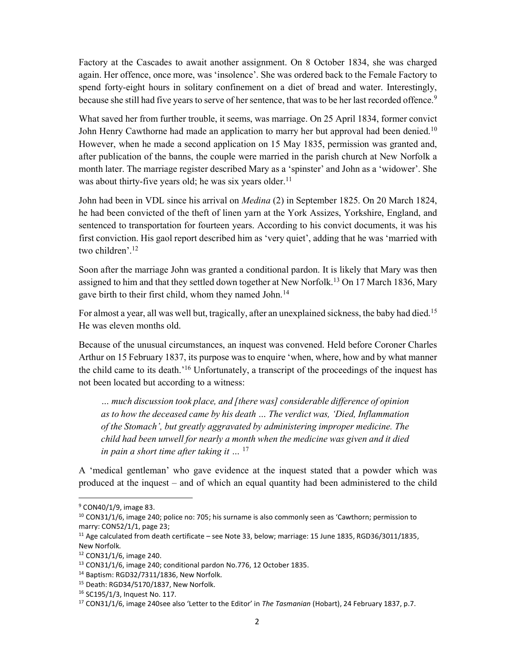Factory at the Cascades to await another assignment. On 8 October 1834, she was charged again. Her offence, once more, was 'insolence'. She was ordered back to the Female Factory to spend forty-eight hours in solitary confinement on a diet of bread and water. Interestingly, because she still had five years to serve of her sentence, that was to be her last recorded offence.<sup>9</sup>

What saved her from further trouble, it seems, was marriage. On 25 April 1834, former convict John Henry Cawthorne had made an application to marry her but approval had been denied.<sup>10</sup> However, when he made a second application on 15 May 1835, permission was granted and, after publication of the banns, the couple were married in the parish church at New Norfolk a month later. The marriage register described Mary as a 'spinster' and John as a 'widower'. She was about thirty-five years old; he was six years older.<sup>11</sup>

John had been in VDL since his arrival on *Medina* (2) in September 1825. On 20 March 1824, he had been convicted of the theft of linen yarn at the York Assizes, Yorkshire, England, and sentenced to transportation for fourteen years. According to his convict documents, it was his first conviction. His gaol report described him as 'very quiet', adding that he was 'married with two children'.<sup>12</sup>

Soon after the marriage John was granted a conditional pardon. It is likely that Mary was then assigned to him and that they settled down together at New Norfolk.<sup>13</sup> On 17 March 1836, Mary gave birth to their first child, whom they named John.<sup>14</sup>

For almost a year, all was well but, tragically, after an unexplained sickness, the baby had died.<sup>15</sup> He was eleven months old.

Because of the unusual circumstances, an inquest was convened. Held before Coroner Charles Arthur on 15 February 1837, its purpose was to enquire 'when, where, how and by what manner the child came to its death.'<sup>16</sup> Unfortunately, a transcript of the proceedings of the inquest has not been located but according to a witness:

… much discussion took place, and [there was] considerable difference of opinion as to how the deceased came by his death … The verdict was, 'Died, Inflammation of the Stomach', but greatly aggravated by administering improper medicine. The child had been unwell for nearly a month when the medicine was given and it died in pain a short time after taking it  $\ldots$  <sup>17</sup>

A 'medical gentleman' who gave evidence at the inquest stated that a powder which was produced at the inquest – and of which an equal quantity had been administered to the child

<sup>&</sup>lt;sup>9</sup> CON40/1/9, image 83.

 $10$  CON31/1/6, image 240; police no: 705; his surname is also commonly seen as 'Cawthorn; permission to marry: CON52/1/1, page 23;

<sup>&</sup>lt;sup>11</sup> Age calculated from death certificate – see Note 33, below; marriage: 15 June 1835, RGD36/3011/1835, New Norfolk.

<sup>12</sup> CON31/1/6, image 240.

<sup>13</sup> CON31/1/6, image 240; conditional pardon No.776, 12 October 1835.

<sup>14</sup> Baptism: RGD32/7311/1836, New Norfolk.

<sup>15</sup> Death: RGD34/5170/1837, New Norfolk.

<sup>16</sup> SC195/1/3, Inquest No. 117.

<sup>&</sup>lt;sup>17</sup> CON31/1/6, image 240see also 'Letter to the Editor' in The Tasmanian (Hobart), 24 February 1837, p.7.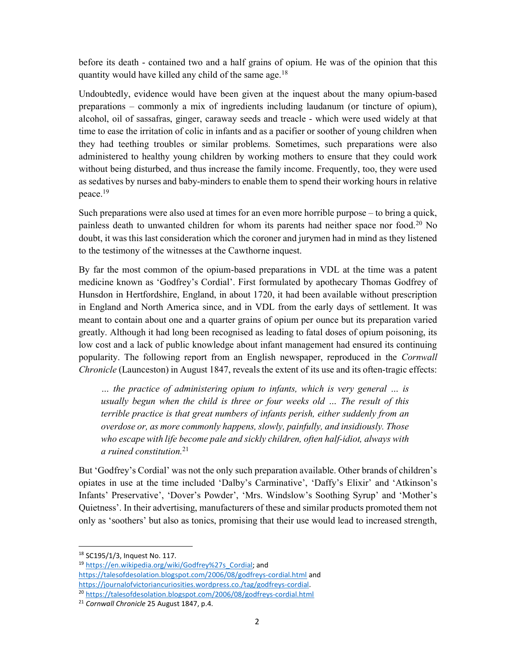before its death - contained two and a half grains of opium. He was of the opinion that this quantity would have killed any child of the same age.<sup>18</sup>

Undoubtedly, evidence would have been given at the inquest about the many opium-based preparations – commonly a mix of ingredients including laudanum (or tincture of opium), alcohol, oil of sassafras, ginger, caraway seeds and treacle - which were used widely at that time to ease the irritation of colic in infants and as a pacifier or soother of young children when they had teething troubles or similar problems. Sometimes, such preparations were also administered to healthy young children by working mothers to ensure that they could work without being disturbed, and thus increase the family income. Frequently, too, they were used as sedatives by nurses and baby-minders to enable them to spend their working hours in relative peace.<sup>19</sup>

Such preparations were also used at times for an even more horrible purpose – to bring a quick, painless death to unwanted children for whom its parents had neither space nor food.<sup>20</sup> No doubt, it was this last consideration which the coroner and jurymen had in mind as they listened to the testimony of the witnesses at the Cawthorne inquest.

By far the most common of the opium-based preparations in VDL at the time was a patent medicine known as 'Godfrey's Cordial'. First formulated by apothecary Thomas Godfrey of Hunsdon in Hertfordshire, England, in about 1720, it had been available without prescription in England and North America since, and in VDL from the early days of settlement. It was meant to contain about one and a quarter grains of opium per ounce but its preparation varied greatly. Although it had long been recognised as leading to fatal doses of opium poisoning, its low cost and a lack of public knowledge about infant management had ensured its continuing popularity. The following report from an English newspaper, reproduced in the Cornwall Chronicle (Launceston) in August 1847, reveals the extent of its use and its often-tragic effects:

… the practice of administering opium to infants, which is very general … is usually begun when the child is three or four weeks old … The result of this terrible practice is that great numbers of infants perish, either suddenly from an overdose or, as more commonly happens, slowly, painfully, and insidiously. Those who escape with life become pale and sickly children, often half-idiot, always with a ruined constitution. $2<sup>1</sup>$ 

But 'Godfrey's Cordial' was not the only such preparation available. Other brands of children's opiates in use at the time included 'Dalby's Carminative', 'Daffy's Elixir' and 'Atkinson's Infants' Preservative', 'Dover's Powder', 'Mrs. Windslow's Soothing Syrup' and 'Mother's Quietness'. In their advertising, manufacturers of these and similar products promoted them not only as 'soothers' but also as tonics, promising that their use would lead to increased strength,

<sup>18</sup> SC195/1/3, Inquest No. 117.

<sup>&</sup>lt;sup>19</sup> https://en.wikipedia.org/wiki/Godfrey%27s\_Cordial; and https://talesofdesolation.blogspot.com/2006/08/godfreys-cordial.html and https://journalofvictoriancuriosities.wordpress.co./tag/godfreys-cordial. <sup>20</sup> https://talesofdesolation.blogspot.com/2006/08/godfreys-cordial.html

<sup>&</sup>lt;sup>21</sup> Cornwall Chronicle 25 August 1847, p.4.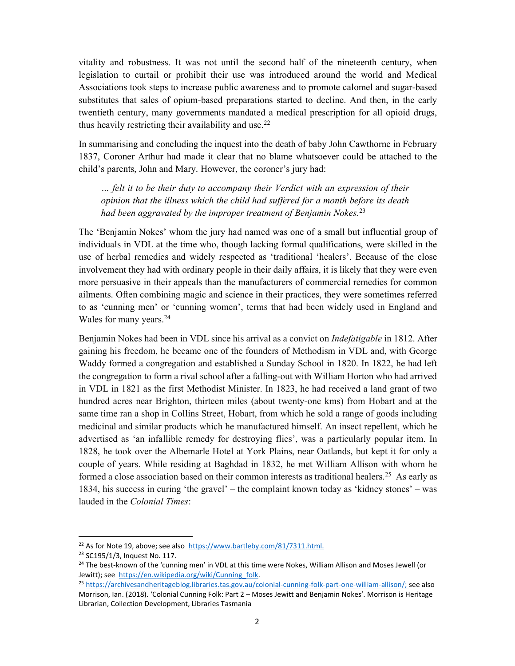vitality and robustness. It was not until the second half of the nineteenth century, when legislation to curtail or prohibit their use was introduced around the world and Medical Associations took steps to increase public awareness and to promote calomel and sugar-based substitutes that sales of opium-based preparations started to decline. And then, in the early twentieth century, many governments mandated a medical prescription for all opioid drugs, thus heavily restricting their availability and use.<sup>22</sup>

In summarising and concluding the inquest into the death of baby John Cawthorne in February 1837, Coroner Arthur had made it clear that no blame whatsoever could be attached to the child's parents, John and Mary. However, the coroner's jury had:

… felt it to be their duty to accompany their Verdict with an expression of their opinion that the illness which the child had suffered for a month before its death had been aggravated by the improper treatment of Benjamin Nokes.<sup>23</sup>

The 'Benjamin Nokes' whom the jury had named was one of a small but influential group of individuals in VDL at the time who, though lacking formal qualifications, were skilled in the use of herbal remedies and widely respected as 'traditional 'healers'. Because of the close involvement they had with ordinary people in their daily affairs, it is likely that they were even more persuasive in their appeals than the manufacturers of commercial remedies for common ailments. Often combining magic and science in their practices, they were sometimes referred to as 'cunning men' or 'cunning women', terms that had been widely used in England and Wales for many years.<sup>24</sup>

Benjamin Nokes had been in VDL since his arrival as a convict on *Indefatigable* in 1812. After gaining his freedom, he became one of the founders of Methodism in VDL and, with George Waddy formed a congregation and established a Sunday School in 1820. In 1822, he had left the congregation to form a rival school after a falling-out with William Horton who had arrived in VDL in 1821 as the first Methodist Minister. In 1823, he had received a land grant of two hundred acres near Brighton, thirteen miles (about twenty-one kms) from Hobart and at the same time ran a shop in Collins Street, Hobart, from which he sold a range of goods including medicinal and similar products which he manufactured himself. An insect repellent, which he advertised as 'an infallible remedy for destroying flies', was a particularly popular item. In 1828, he took over the Albemarle Hotel at York Plains, near Oatlands, but kept it for only a couple of years. While residing at Baghdad in 1832, he met William Allison with whom he formed a close association based on their common interests as traditional healers.<sup>25</sup> As early as 1834, his success in curing 'the gravel' – the complaint known today as 'kidney stones' – was lauded in the Colonial Times:

<sup>&</sup>lt;sup>22</sup> As for Note 19, above; see also https://www.bartleby.com/81/7311.html.

<sup>23</sup> SC195/1/3, Inquest No. 117.

<sup>&</sup>lt;sup>24</sup> The best-known of the 'cunning men' in VDL at this time were Nokes, William Allison and Moses Jewell (or Jewitt); see https://en.wikipedia.org/wiki/Cunning\_folk.

<sup>25</sup> https://archivesandheritageblog.libraries.tas.gov.au/colonial-cunning-folk-part-one-william-allison/; see also Morrison, Ian. (2018). 'Colonial Cunning Folk: Part 2 – Moses Jewitt and Benjamin Nokes'. Morrison is Heritage Librarian, Collection Development, Libraries Tasmania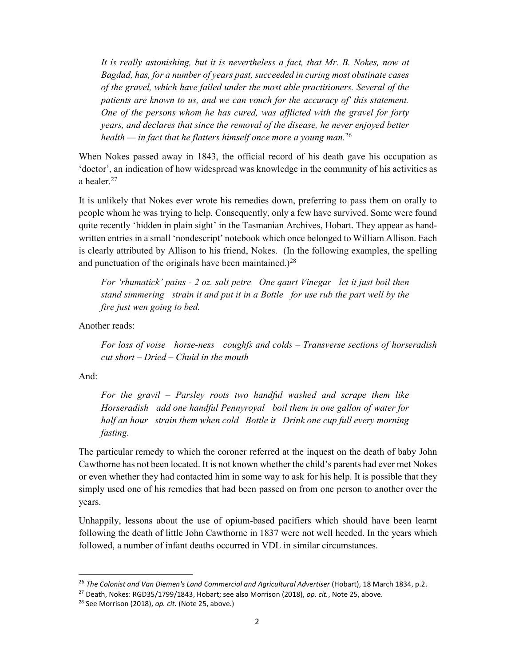It is really astonishing, but it is nevertheless a fact, that Mr. B. Nokes, now at Bagdad, has, for a number of years past, succeeded in curing most obstinate cases of the gravel, which have failed under the most able practitioners. Several of the patients are known to us, and we can vouch for the accuracy of' this statement. One of the persons whom he has cured, was afflicted with the gravel for forty years, and declares that since the removal of the disease, he never enjoyed better health — in fact that he flatters himself once more a young man.<sup>26</sup>

When Nokes passed away in 1843, the official record of his death gave his occupation as 'doctor', an indication of how widespread was knowledge in the community of his activities as a healer.<sup>27</sup>

It is unlikely that Nokes ever wrote his remedies down, preferring to pass them on orally to people whom he was trying to help. Consequently, only a few have survived. Some were found quite recently 'hidden in plain sight' in the Tasmanian Archives, Hobart. They appear as handwritten entries in a small 'nondescript' notebook which once belonged to William Allison. Each is clearly attributed by Allison to his friend, Nokes. (In the following examples, the spelling and punctuation of the originals have been maintained.)<sup>28</sup>

For 'rhumatick' pains - 2 oz. salt petre One qaurt Vinegar let it just boil then stand simmering strain it and put it in a Bottle for use rub the part well by the fire just wen going to bed.

Another reads:

For loss of voise horse-ness coughfs and colds – Transverse sections of horseradish  $cut short-Dried-Chuid$  in the mouth

And:

1

For the gravil – Parsley roots two handful washed and scrape them like Horseradish add one handful Pennyroyal boil them in one gallon of water for half an hour strain them when cold Bottle it Drink one cup full every morning fasting.

The particular remedy to which the coroner referred at the inquest on the death of baby John Cawthorne has not been located. It is not known whether the child's parents had ever met Nokes or even whether they had contacted him in some way to ask for his help. It is possible that they simply used one of his remedies that had been passed on from one person to another over the years.

Unhappily, lessons about the use of opium-based pacifiers which should have been learnt following the death of little John Cawthorne in 1837 were not well heeded. In the years which followed, a number of infant deaths occurred in VDL in similar circumstances.

<sup>&</sup>lt;sup>26</sup> The Colonist and Van Diemen's Land Commercial and Agricultural Advertiser (Hobart), 18 March 1834, p.2.

 $^{27}$  Death, Nokes: RGD35/1799/1843, Hobart; see also Morrison (2018), op. cit., Note 25, above.

 $28$  See Morrison (2018), op. cit. (Note 25, above.)